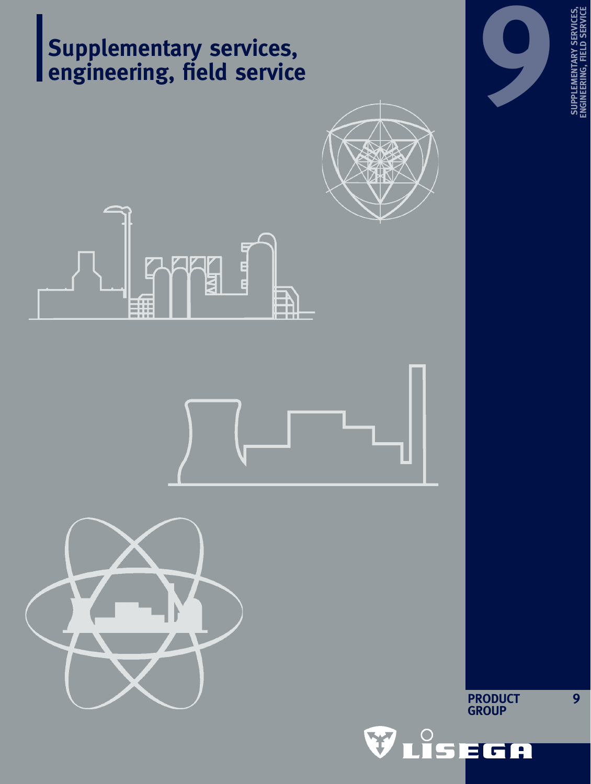# **9 19 <b>19 PM**<br>engineering, field service<br>engineering, field service **engineering, field service**











**GROUP**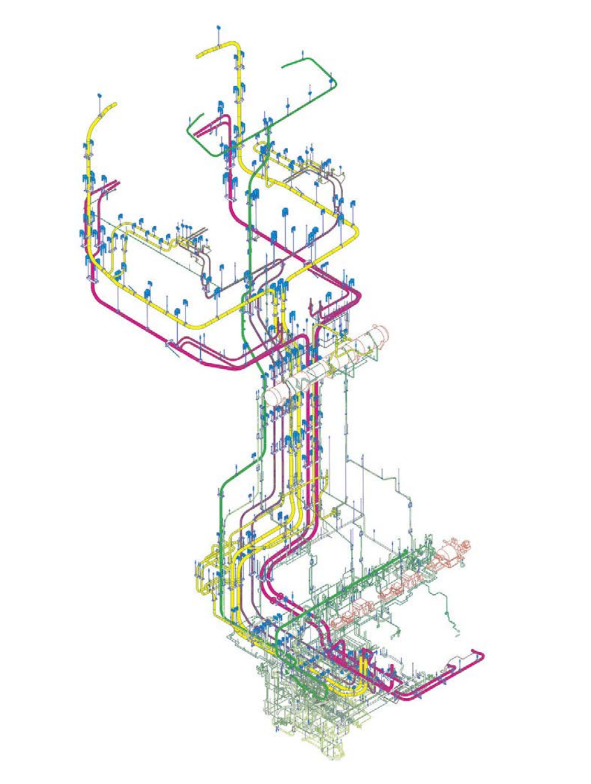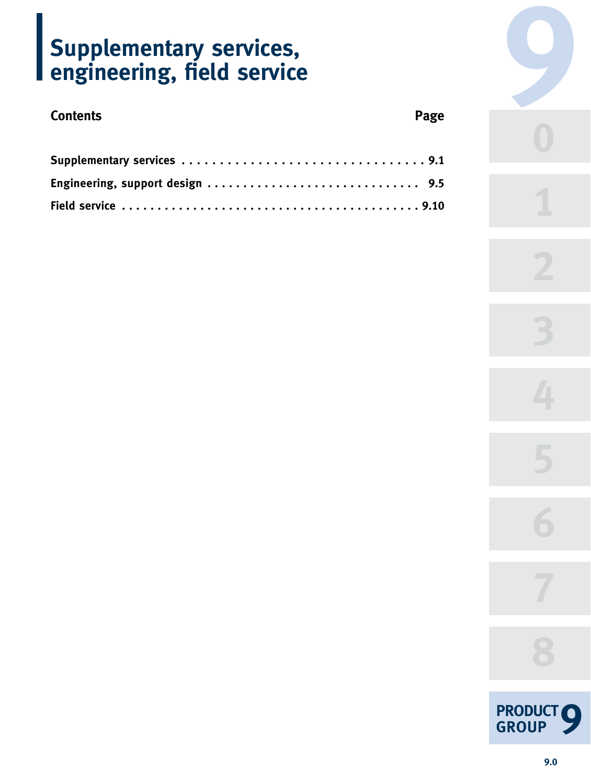# **Supplementary services, engineering, field service**

## **Contents** Page

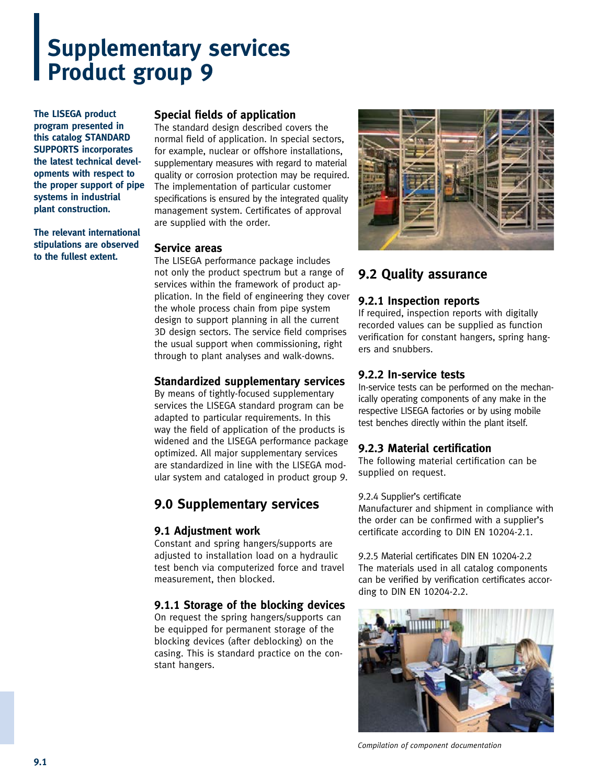# **Supplementary services Product group 9**

**The LISEGA product program presented in this catalog STANDARD SUPPORTS incorporates the latest technical developments with respect to the proper support of pipe systems in industrial plant construction.**

**The relevant international stipulations are observed to the fullest extent.**

## **Special fields of application**

The standard design described covers the normal field of application. In special sectors, for example, nuclear or offshore installations, supplementary measures with regard to material quality or corrosion protection may be required. The implementation of particular customer specifications is ensured by the integrated quality management system. Certificates of approval are supplied with the order.

#### **Service areas**

The LISEGA performance package includes not only the product spectrum but a range of services within the framework of product application. In the field of engineering they cover the whole process chain from pipe system design to support planning in all the current 3D design sectors. The service field comprises the usual support when commissioning, right through to plant analyses and walk-downs.

## **Standardized supplementary services**

By means of tightly-focused supplementary services the LISEGA standard program can be adapted to particular requirements. In this way the field of application of the products is widened and the LISEGA performance package optimized. All major supplementary services are standardized in line with the LISEGA modular system and cataloged in product group 9.

## **9.0 Supplementary services**

## **9.1 Adjustment work**

Constant and spring hangers/supports are adjusted to installation load on a hydraulic test bench via computerized force and travel measurement, then blocked.

## **9.1.1 Storage of the blocking devices**

On request the spring hangers/supports can be equipped for permanent storage of the blocking devices (after deblocking) on the casing. This is standard practice on the constant hangers.



## **9.2 Quality assurance**

## **9.2.1 Inspection reports**

If required, inspection reports with digitally recorded values can be supplied as function verification for constant hangers, spring hangers and snubbers.

## **9.2.2 In-service tests**

In-service tests can be performed on the mechanically operating components of any make in the respective LISEGA factories or by using mobile test benches directly within the plant itself.

## **9.2.3 Material certification**

The following material certification can be supplied on request.

#### 9.2.4 Supplier's certificate

Manufacturer and shipment in compliance with the order can be confirmed with a supplier's certificate according to DIN EN 10204-2.1.

9.2.5 Material certificates DIN EN 10204-2.2 The materials used in all catalog components can be verified by verification certificates according to DIN EN 10204-2.2.



*Compilation of component documentation*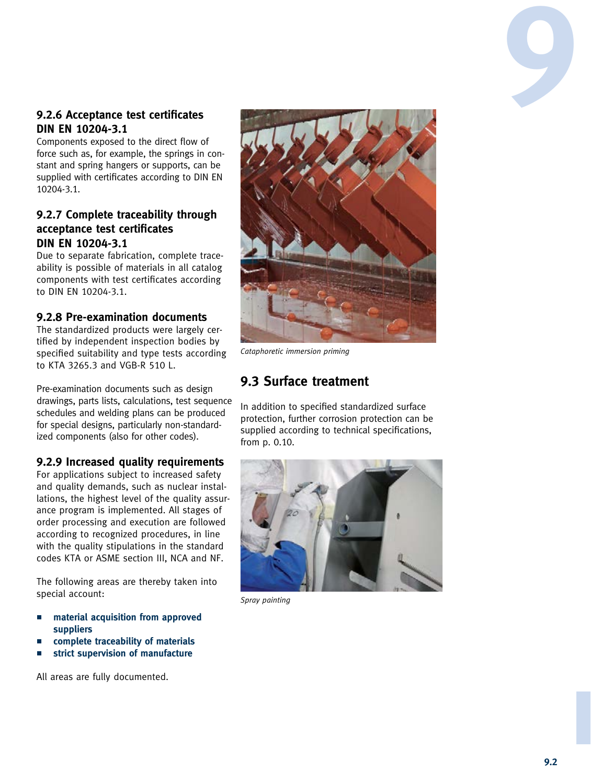

## **9.2.6 Acceptance test certificates DIN EN 10204-3.1**

Components exposed to the direct flow of force such as, for example, the springs in constant and spring hangers or supports, can be supplied with certificates according to DIN EN 10204-3.1.

## **9.2.7 Complete traceability through acceptance test certificates DIN EN 10204-3.1**

Due to separate fabrication, complete traceability is possible of materials in all catalog components with test certificates according to DIN EN 10204-3.1.

## **9.2.8 Pre-examination documents**

The standardized products were largely certified by independent inspection bodies by specified suitability and type tests according to KTA 3265.3 and VGB-R 510 L.

Pre-examination documents such as design drawings, parts lists, calculations, test sequence schedules and welding plans can be produced for special designs, particularly non-standardized components (also for other codes).

## **9.2.9 Increased quality requirements**

For applications subject to increased safety and quality demands, such as nuclear installations, the highest level of the quality assurance program is implemented. All stages of order processing and execution are followed according to recognized procedures, in line with the quality stipulations in the standard codes KTA or ASME section III, NCA and NF.

The following areas are thereby taken into special account:

- **material acquisition from approved suppliers**
- **complete traceability of materials**
- **strict supervision of manufacture**

All areas are fully documented.



*Cataphoretic immersion priming*

## **9.3 Surface treatment**

In addition to specified standardized surface protection, further corrosion protection can be supplied according to technical specifications, from p. 0.10.



*Spray painting*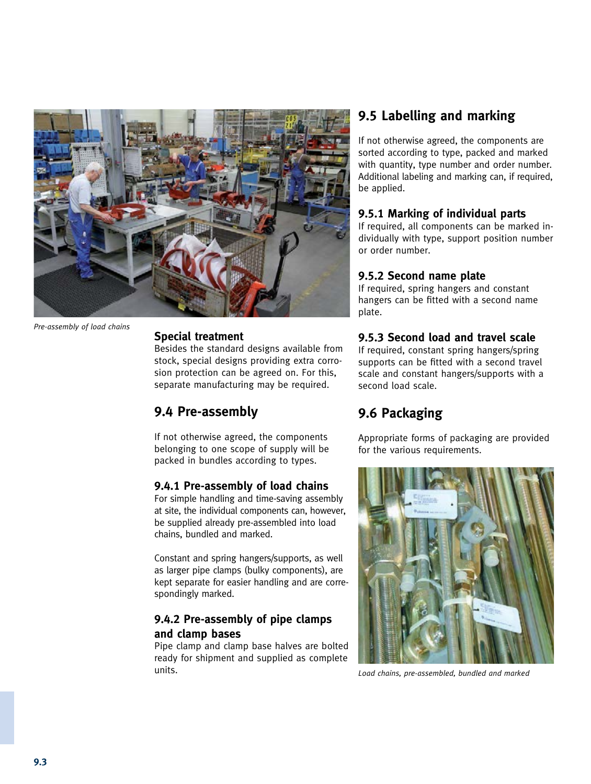

*Pre-assembly of load chains* 

#### **Special treatment**

Besides the standard designs available from stock, special designs providing extra corrosion protection can be agreed on. For this, separate manufacturing may be required.

## **9.4 Pre-assembly**

If not otherwise agreed, the components belonging to one scope of supply will be packed in bundles according to types.

## **9.4.1 Pre-assembly of load chains**

For simple handling and time-saving assembly at site, the individual components can, however, be supplied already pre-assembled into load chains, bundled and marked.

Constant and spring hangers/supports, as well as larger pipe clamps (bulky components), are kept separate for easier handling and are correspondingly marked.

## **9.4.2 Pre-assembly of pipe clamps and clamp bases**

Pipe clamp and clamp base halves are bolted ready for shipment and supplied as complete units.

## **9.5 Labelling and marking**

If not otherwise agreed, the components are sorted according to type, packed and marked with quantity, type number and order number. Additional labeling and marking can, if required, be applied.

## **9.5.1 Marking of individual parts**

If required, all components can be marked individually with type, support position number or order number.

## **9.5.2 Second name plate**

If required, spring hangers and constant hangers can be fitted with a second name plate.

## **9.5.3 Second load and travel scale**

If required, constant spring hangers/spring supports can be fitted with a second travel scale and constant hangers/supports with a second load scale.

## **9.6 Packaging**

Appropriate forms of packaging are provided for the various requirements.



*Load chains, pre-assembled, bundled and marked*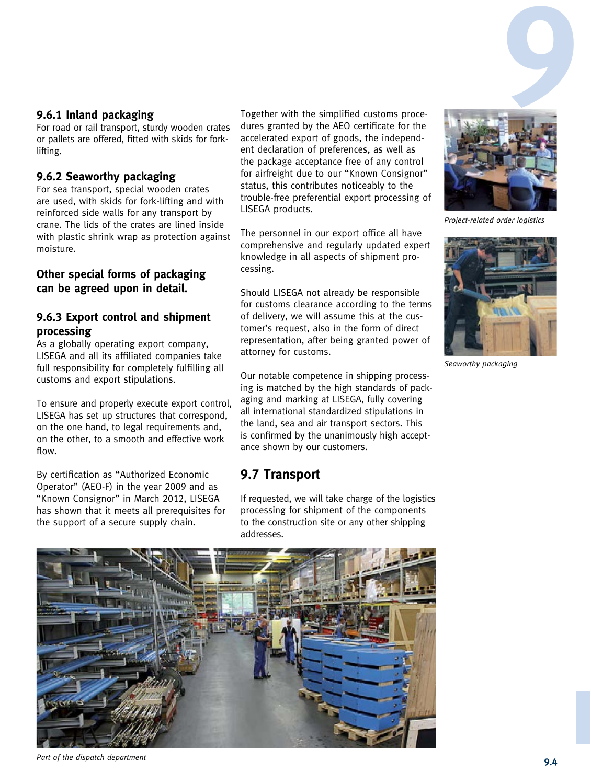## **9.6.1 Inland packaging**

For road or rail transport, sturdy wooden crates or pallets are offered, fitted with skids for forklifting.

## **9.6.2 Seaworthy packaging**

For sea transport, special wooden crates are used, with skids for fork-lifting and with reinforced side walls for any transport by crane. The lids of the crates are lined inside with plastic shrink wrap as protection against moisture.

## **Other special forms of packaging can be agreed upon in detail.**

## **9.6.3 Export control and shipment processing**

As a globally operating export company, LISEGA and all its affiliated companies take full responsibility for completely fulfilling all customs and export stipulations.

To ensure and properly execute export control, LISEGA has set up structures that correspond, on the one hand, to legal requirements and, on the other, to a smooth and effective work flow.

By certification as "Authorized Economic Operator" (AEO-F) in the year 2009 and as "Known Consignor" in March 2012, LISEGA has shown that it meets all prerequisites for the support of a secure supply chain.

Together with the simplified customs procedures granted by the AEO certificate for the accelerated export of goods, the independent declaration of preferences, as well as the package acceptance free of any control for airfreight due to our "Known Consignor" status, this contributes noticeably to the trouble-free preferential export processing of LISEGA products.

The personnel in our export office all have comprehensive and regularly updated expert knowledge in all aspects of shipment processing.

Should LISEGA not already be responsible for customs clearance according to the terms of delivery, we will assume this at the customer's request, also in the form of direct representation, after being granted power of attorney for customs.

Our notable competence in shipping processing is matched by the high standards of packaging and marking at LISEGA, fully covering all international standardized stipulations in the land, sea and air transport sectors. This is confirmed by the unanimously high acceptance shown by our customers.

## **9.7 Transport**

If requested, we will take charge of the logistics processing for shipment of the components to the construction site or any other shipping addresses.



*Part of the dispatch department* 



*Project-related order logistics* 



*Seaworthy packaging*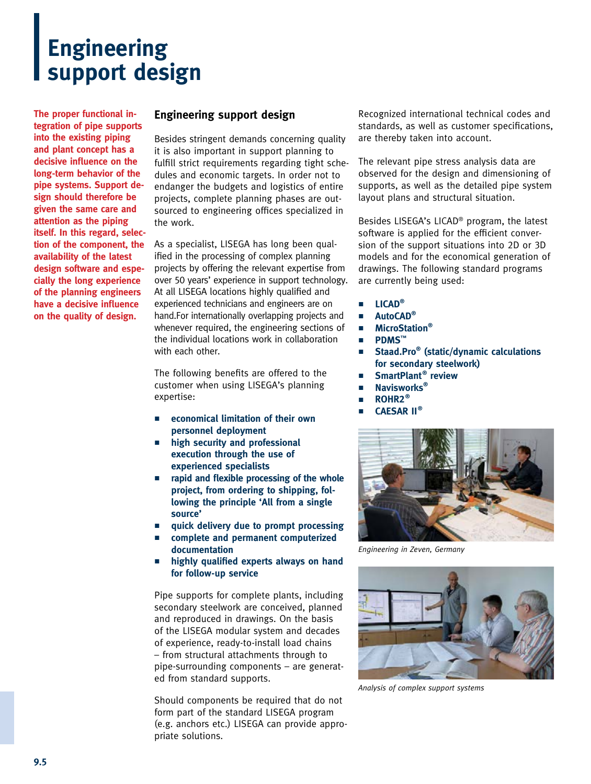## **Engineering support design**

**The proper functional integration of pipe supports into the existing piping and plant concept has a decisive influence on the long-term behavior of the pipe systems. Support design should therefore be given the same care and attention as the piping itself. In this regard, selection of the component, the availability of the latest design software and especially the long experience of the planning engineers have a decisive influence on the quality of design.**

## **Engineering support design**

Besides stringent demands concerning quality it is also important in support planning to fulfill strict requirements regarding tight schedules and economic targets. In order not to endanger the budgets and logistics of entire projects, complete planning phases are outsourced to engineering offices specialized in the work.

As a specialist, LISEGA has long been qualified in the processing of complex planning projects by offering the relevant expertise from over 50 years' experience in support technology. At all LISEGA locations highly qualified and experienced technicians and engineers are on hand.For internationally overlapping projects and whenever required, the engineering sections of the individual locations work in collaboration with each other.

The following benefits are offered to the customer when using LISEGA's planning expertise:

- **economical limitation of their own personnel deployment**
- **high security and professional execution through the use of experienced specialists**
- **rapid and flexible processing of the whole project, from ordering to shipping, following the principle 'All from a single source'**
- **quick delivery due to prompt processing**
- **complete and permanent computerized documentation**
- **highly qualified experts always on hand for follow-up service**

Pipe supports for complete plants, including secondary steelwork are conceived, planned and reproduced in drawings. On the basis of the LISEGA modular system and decades of experience, ready-to-install load chains – from structural attachments through to pipe-surrounding components – are generated from standard supports.

Should components be required that do not form part of the standard LISEGA program (e.g. anchors etc.) LISEGA can provide appropriate solutions.

Recognized international technical codes and standards, as well as customer specifications, are thereby taken into account.

The relevant pipe stress analysis data are observed for the design and dimensioning of supports, as well as the detailed pipe system layout plans and structural situation.

Besides LISEGA's LICAD® program, the latest software is applied for the efficient conversion of the support situations into 2D or 3D models and for the economical generation of drawings. The following standard programs are currently being used:

- **LICAD<sup>®</sup>**
- **AutoCAD®**
- MicroStation<sup>®</sup>
- **PDMS™**
- **Staad.Pro® (static/dynamic calculations for secondary steelwork)**
- **E** SmartPlant<sup>®</sup> review
- **Navisworks®**
- **ROHR2 ®**
- **CAESAR II ®**



*Engineering in Zeven, Germany*



*Analysis of complex support systems*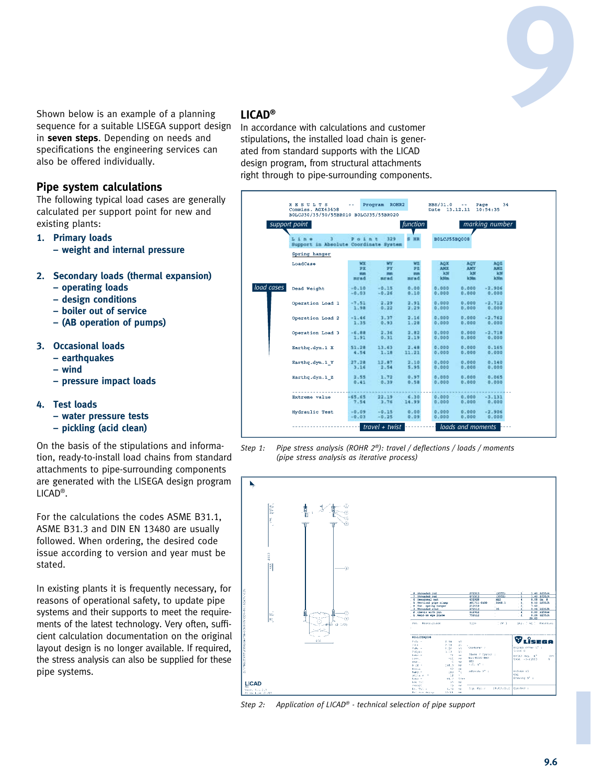

Shown below is an example of a planning sequence for a suitable LISEGA support design in **seven steps**. Depending on needs and specifications the engineering services can also be offered individually.

#### **Pipe system calculations**

The following typical load cases are generally calculated per support point for new and existing plants:

- **1. Primary loads** 
	- **weight and internal pressure**
- **2. Secondary loads (thermal expansion)** 
	- **operating loads**
	- **design conditions**
	- **boiler out of service**
	- **(AB operation of pumps)**
- **3. Occasional loads** 
	- **earthquakes**
	- **wind**
	- **pressure impact loads**
- **4. Test loads** 
	- **water pressure tests**
	- **pickling (acid clean)**

On the basis of the stipulations and information, ready-to-install load chains from standard attachments to pipe-surrounding components are generated with the LISEGA design program LICAD®.

For the calculations the codes ASME B31.1, ASME B31.3 and DIN EN 13480 are usually followed. When ordering, the desired code issue according to version and year must be stated.

In existing plants it is frequently necessary, for reasons of operational safety, to update pipe systems and their supports to meet the requirements of the latest technology. Very often, sufficient calculation documentation on the original layout design is no longer available. If required, the stress analysis can also be supplied for these pipe systems.

#### **LICAD®**

In accordance with calculations and customer stipulations, the installed load chain is generated from standard supports with the LICAD design program, from structural attachments right through to pipe-surrounding components.

| support point                                             |                 |                | function  |                     |            | marking number |
|-----------------------------------------------------------|-----------------|----------------|-----------|---------------------|------------|----------------|
| $L$ in $\bullet$<br>Support in Absolute Coordinate System | $P$ o $1$ n t   | 329            | $S$ NR    | <b>B0LCJ55BQ008</b> |            |                |
| Spring hanger                                             |                 |                |           |                     |            |                |
| LoadCase                                                  | <b>WX</b>       | w              | WZ.       | <b>AQX</b>          | <b>AOY</b> | <b>MOZ</b>     |
|                                                           | $\overline{YX}$ | 77             | PZ.       | <b>AMX</b>          | <b>AMY</b> | <b>AMI</b>     |
|                                                           | <b>Hall</b>     | $\blacksquare$ | <b>ES</b> | kN                  | kit        | kN             |
|                                                           | mrad            | mrad           | mrad      | khim.               | $k$ 20m    | kNn            |
| Dead Weight                                               | $-0.10$         | $-0.15$        | 0.00      | 0.000               | 0.000      | $-2.906$       |
|                                                           | $-0.03$         | $-0.26$        | 0.10      | 0.000               | 0.000      | 0.000          |
| Operation Load 1                                          | $-7.51$         | 2.29           | 2.91      | 0.000               | 0.000      | $-2.712$       |
|                                                           | 1.98            | 0.22           | 2.29      | 0.000               | 0.000      | 0.000          |
| Operation Load 2                                          | $-1.46$         | 3.37           | 2.16      | 0.000               | 0.000      | $-2.762$       |
|                                                           | 1.35            | 0.93           | 1.28      | 0.000               | 0.000      | 0.000          |
| Operation Load 3                                          | $-6.88$         | 2.36           | 2.82      | 0.000               | 0.000      | $-2.718$       |
|                                                           | 1.91            | 0.31           | 2.19      | 0.000               | 0.000      | 0.000          |
| Earthq.dyn.1 X                                            | 51.28           | 13.63          | 2.48      | 0.000               | 0.000      | 0.165          |
|                                                           | 4.54            | 1.18           | 11.21     | 0.000               | 0.000      | 0.000          |
| Earthq.dyn.1 Y                                            | 27.28           | 12.87          | 2.10      | 0.000               | 0.000      | 0.140          |
|                                                           | 3.16            | 2.54           | 5.95      | 0.000               | 0.000      | 0.000          |
| Earthg.dyn.1 Z                                            | 2.55            | 1.72           | 0.97      | 0.000.              | 0.000      | 0.065          |
|                                                           | 0.41            | 0.39           | 0.58      | 0.000               | 0.000      | 0.000          |
| Extreme value                                             | $-65.65$        | 22.19          | 6:30      | 0.000               | 0.000      | $-3.131$       |
|                                                           | 7.54            | 3.76           | 14.99     | 0.000               | 0.000      | 0.000          |
| Hydraulic Test                                            | $-0.09$         | $-0.15$        | 0.00      | 0.000               | 0.000      | $-2.906$       |
|                                                           | $-0.03$         | $-0.25$        | 0.09      | 0.000               | 0.000      | 0.000          |





*Step 2: Application of LICAD® - technical selection of pipe support*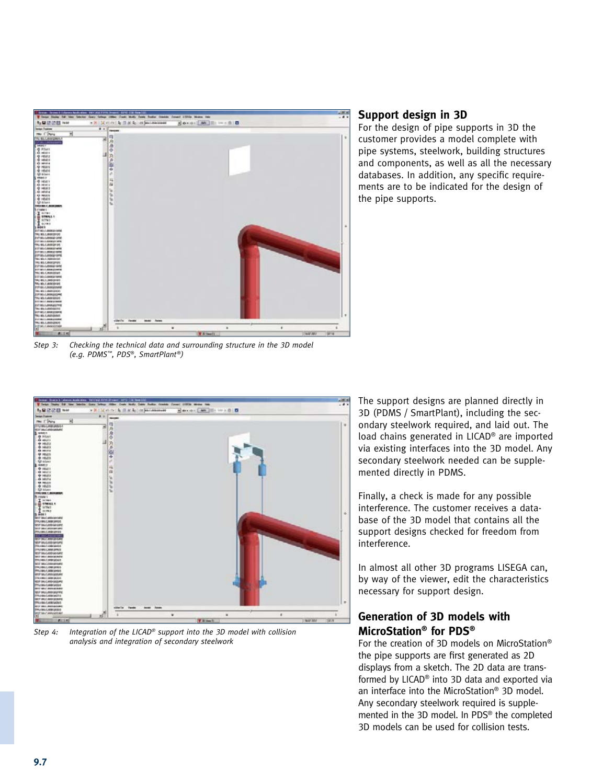

## **Support design in 3D**

For the design of pipe supports in 3D the customer provides a model complete with pipe systems, steelwork, building structures and components, as well as all the necessary databases. In addition, any specific requirements are to be indicated for the design of the pipe supports.

*Step 3: Checking the technical data and surrounding structure in the 3D model (e.g. PDMS™, PDS*®*, SmartPlant* ®*)* 



*Step 4: Integration of the LICAD® support into the 3D model with collision analysis and integration of secondary steelwork*

The support designs are planned directly in 3D (PDMS / SmartPlant), including the secondary steelwork required, and laid out. The load chains generated in LICAD® are imported via existing interfaces into the 3D model. Any secondary steelwork needed can be supplemented directly in PDMS.

Finally, a check is made for any possible interference. The customer receives a database of the 3D model that contains all the support designs checked for freedom from interference.

In almost all other 3D programs LISEGA can, by way of the viewer, edit the characteristics necessary for support design.

## **Generation of 3D models with MicroStation® for PDS®**

For the creation of 3D models on MicroStation® the pipe supports are first generated as 2D displays from a sketch. The 2D data are transformed by LICAD® into 3D data and exported via an interface into the MicroStation® 3D model. Any secondary steelwork required is supplemented in the 3D model. In PDS® the completed 3D models can be used for collision tests.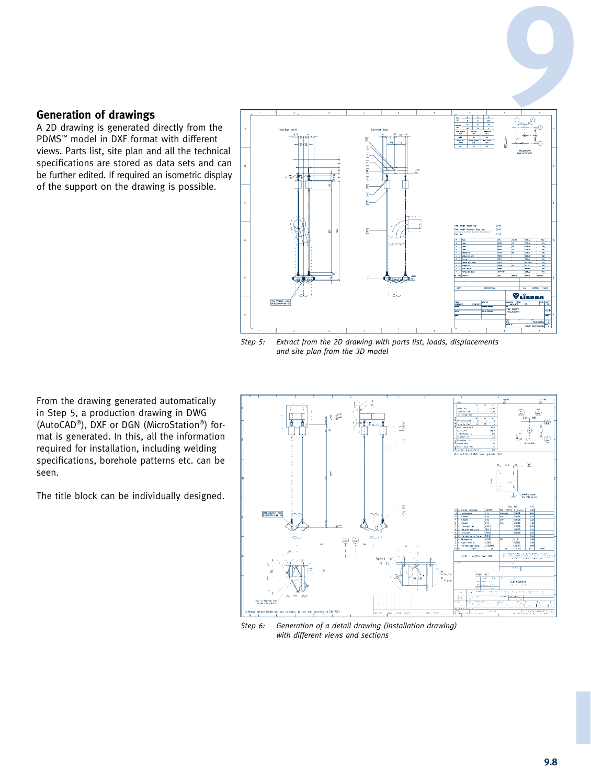#### **Generation of drawings**

A 2D drawing is generated directly from the PDMS™ model in DXF format with different views. Parts list, site plan and all the technical specifications are stored as data sets and can be further edited. If required an isometric display of the support on the drawing is possible.



*Step 5: Extract from the 2D drawing with parts list, loads, displacements and site plan from the 3D model* 

From the drawing generated automatically in Step 5, a production drawing in DWG (AutoCAD®), DXF or DGN (MicroStation®) format is generated. In this, all the information required for installation, including welding specifications, borehole patterns etc. can be seen.

The title block can be individually designed.



*Step 6: Generation of a detail drawing (installation drawing) with different views and sections*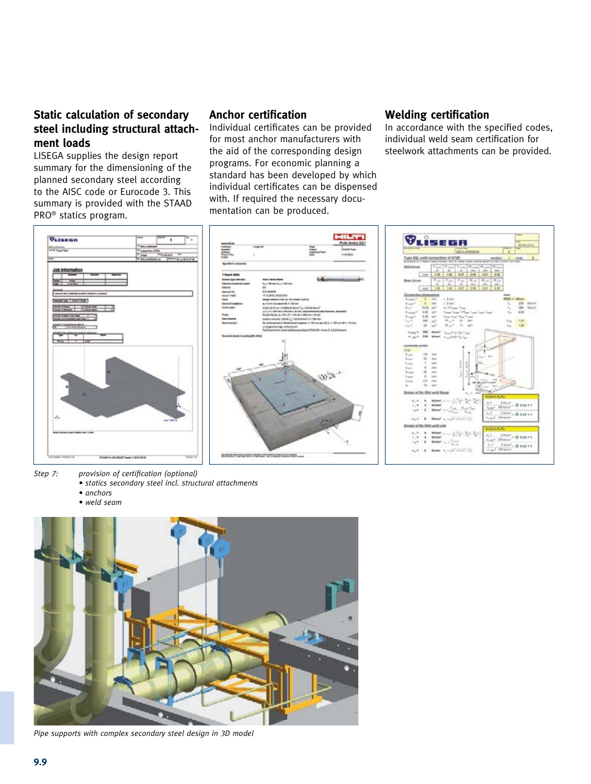## **Static calculation of secondary steel including structural attachment loads**

LISEGA supplies the design report summary for the dimensioning of the planned secondary steel according to the AISC code or Eurocode 3. This summary is provided with the STAAD PRO® statics program.

#### **Anchor certification**

Individual certificates can be provided for most anchor manufacturers with the aid of the corresponding design programs. For economic planning a standard has been developed by which individual certificates can be dispensed with. If required the necessary documentation can be produced.

## **Welding certification**

In accordance with the specified codes, individual weld seam certification for steelwork attachments can be provided.







*Step 7: provision of certification (optional)* 

- *statics secondary steel incl. structural attachments*
- *anchors*
- *weld seam*



*Pipe supports with complex secondary steel design in 3D model*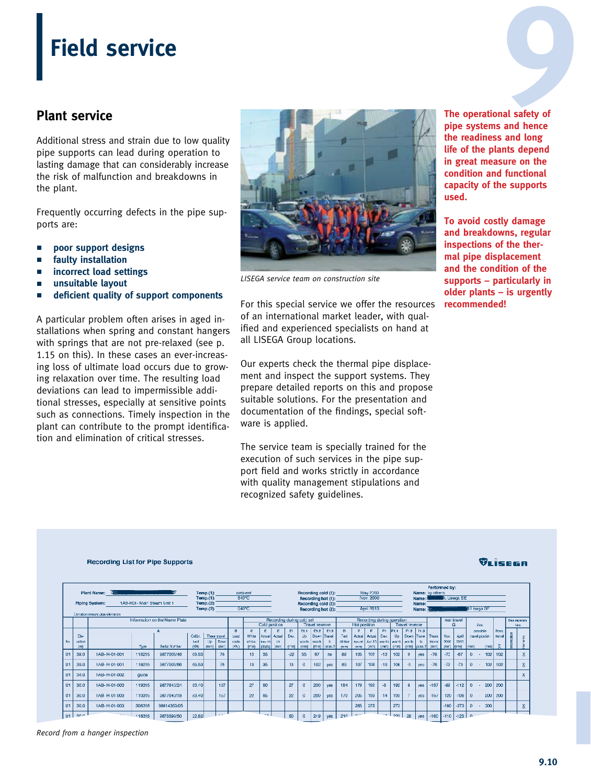# **Field service**

## **Plant service**

Additional stress and strain due to low quality pipe supports can lead during operation to lasting damage that can considerably increase the risk of malfunction and breakdowns in the plant.

Frequently occurring defects in the pipe supports are:

- **poor support designs**
- **faulty installation**
- **incorrect load settings**
- **unsuitable layout**
- **deficient quality of support components**

A particular problem often arises in aged installations when spring and constant hangers with springs that are not pre-relaxed (see p. 1.15 on this). In these cases an ever-increasing loss of ultimate load occurs due to growing relaxation over time. The resulting load deviations can lead to impermissible additional stresses, especially at sensitive points such as connections. Timely inspection in the plant can contribute to the prompt identification and elimination of critical stresses.



*LISEGA service team on construction site*

For this special service we offer the resources of an international market leader, with qualified and experienced specialists on hand at all LISEGA Group locations.

Our experts check the thermal pipe displacement and inspect the support systems. They prepare detailed reports on this and propose suitable solutions. For the presentation and documentation of the findings, special software is applied.

The service team is specially trained for the execution of such services in the pipe support field and works strictly in accordance with quality management stipulations and recognized safety guidelines.

**1994**<br>al safety of **The operational safety of pipe systems and hence the readiness and long life of the plants depend in great measure on the condition and functional capacity of the supports used.** 

**To avoid costly damage and breakdowns, regular inspections of the thermal pipe displacement and the condition of the supports – particularly in older plants – is urgently recommended!** 

#### **Recording List for Pipe Supports**

| Plant Name: - 2000 - 2000 - 2000 - 2000 - 2000 - 2000 - 2000 - 2000 - 2000 - 2000 - 2000 - 2000 - 2000 - 2000<br>Temp.(1):<br>Temp.(1):<br>1AB-H01- Main Steam Unit 1<br>Temp.(2):<br>Piping System:<br>Temp.(2):<br>Elevation means pipe elevation |                               |                 |        |              |                                |                      | ambient<br>Recording cold (1):<br>540°C<br>Recording hot (1):<br>Recording cold (2):<br><b>540°C</b><br>Recording hot (2): |                                       |                          |                                     |                                        |                  |                                                              | May 2000<br>Nov. 2000<br>April 2013 |                                               |                                                |              |                                                                                 | Name: 1<br>Name: | Performed by:<br>Name: by others<br>n, Lisegs SE<br>_______________<br>ta Lisena SF<br>Name: 20 |                                                 |              |                          |                               |               |                |                                     |                          |  |             |
|-----------------------------------------------------------------------------------------------------------------------------------------------------------------------------------------------------------------------------------------------------|-------------------------------|-----------------|--------|--------------|--------------------------------|----------------------|----------------------------------------------------------------------------------------------------------------------------|---------------------------------------|--------------------------|-------------------------------------|----------------------------------------|------------------|--------------------------------------------------------------|-------------------------------------|-----------------------------------------------|------------------------------------------------|--------------|---------------------------------------------------------------------------------|------------------|-------------------------------------------------------------------------------------------------|-------------------------------------------------|--------------|--------------------------|-------------------------------|---------------|----------------|-------------------------------------|--------------------------|--|-------------|
|                                                                                                                                                                                                                                                     | Information on the Name Plate |                 |        |              |                                |                      | Recording during cold set<br>Cald position<br><b>Travel reserve</b>                                                        |                                       |                          |                                     |                                        |                  | Recording during operation<br>Hat position<br>Travel reverse |                                     |                                               |                                                |              |                                                                                 |                  |                                                                                                 | real travel<br>G                                |              | Max.                     |                               |               |                | See separate<br>lists               |                          |  |             |
| No                                                                                                                                                                                                                                                  | Els-<br>vation<br>(m)         |                 | Type   | Sedal Number | Calibr.<br>load<br><b>GONS</b> | Up-<br>trom's Lumm's | Theor travel<br><b>Down</b>                                                                                                | $\mathbf{B}$<br>Load<br>acale<br>1880 | White<br>sticker<br>(mm) | E.<br><b>Director</b><br>[imm) (mm) | E.<br>Actual Actual Dev.<br><b>CPS</b> | E1<br>from 1     | E1.1<br>Uo-<br>wards<br>anma.                                | wards                               | $E1.2$ $E1.3$<br>Down Travel<br>fmmi   pces.? | $\mathbf{D}$<br><b>Red</b><br>andrátia<br>(mm) | mont         | F.<br>Actual Actual Dev.<br>Noving   Apr.13   wards   wards   wards  <br>tomas. | F1<br>comp.      | F1.1<br>Up                                                                                      | F1.2 F1.3<br>Down Trave<br>Lommi Lommi Joces.21 | $\mathbb{R}$ | Theor.<br>Inval<br>trom' | Nov.<br>2000 2013<br>$1$ (mm) | April<br>limm | <b>Limma</b>   | possible.<br>travel postion<br>imm) | Poss.<br><b>Instruct</b> |  |             |
| U1                                                                                                                                                                                                                                                  | 39.0                          | 1AB- H-01-001   | 118215 | 9877505/48   | <b>65.53</b>                   |                      | 76                                                                                                                         |                                       | 13                       | 35                                  |                                        | $-22$            | 85                                                           | 67                                  | no.                                           | 89                                             | 105          | 102                                                                             | $-13$            | 102                                                                                             | $^{\circ}$                                      | yes          | $-76$                    | $-70$                         | $-67$         |                | 102<br>$\sim$                       | 102                      |  | $\mathbf x$ |
| U1                                                                                                                                                                                                                                                  | 39.0                          | 1AB- H-01-001   | 118215 | 9877505/66   | 66.53                          |                      | 76                                                                                                                         |                                       | 13 <sup>°</sup>          | 35                                  |                                        | 13 <sup>13</sup> | α.                                                           | 102                                 | yes                                           | 89                                             | 107          | 108                                                                             | $-19$            | 108                                                                                             | -8                                              | ves          | $-76$                    | $-72$                         | $-73$         | $\mathbf{0}$   | 102                                 | 102                      |  | x           |
| U1                                                                                                                                                                                                                                                  | 34.0                          | 1AB- H-01-002   | quide  |              |                                |                      |                                                                                                                            |                                       |                          |                                     |                                        |                  |                                                              |                                     |                                               |                                                |              |                                                                                 |                  |                                                                                                 |                                                 |              |                          |                               |               |                |                                     |                          |  |             |
| U <sub>1</sub>                                                                                                                                                                                                                                      | 30.0                          | 1AB- H-01-003   | 119315 | 9877940/24   | 83.40                          |                      | 157                                                                                                                        |                                       | 27                       | 80                                  |                                        | 27               | 0                                                            | 200                                 | yes                                           | 184                                            | 179          | 192                                                                             | $-8-$            | 192                                                                                             | 8                                               | yes          | $-157$                   | $-98$                         | $-112$        | $\overline{0}$ | 200<br>$\sim$                       | 200                      |  |             |
| U <sub>1</sub>                                                                                                                                                                                                                                      | 30.0                          | 1AB-H-01-003    | 119315 | 9877940/18   | 88.40                          |                      | 157                                                                                                                        |                                       | 22                       | 85                                  |                                        | 22               | 0                                                            | 200                                 | yes                                           | 179                                            | 205          | 193                                                                             | 14               | 193                                                                                             |                                                 | yes          | $-157$                   | $-120$                        | $-108$        | $\mathbf{0}$   |                                     | 200 200                  |  |             |
| U1                                                                                                                                                                                                                                                  | 30.0                          | 1AB- H-01-003   | 306316 | 98614353/05  |                                |                      |                                                                                                                            |                                       |                          |                                     |                                        |                  |                                                              |                                     |                                               |                                                | 265          | 273                                                                             |                  | 273                                                                                             |                                                 |              |                          | $-160$                        | $-273$        | $\mathbf{0}$   | 300                                 |                          |  | ×           |
|                                                                                                                                                                                                                                                     | $U1$ 30 $0$                   | <b>Contract</b> | 116315 | B87859B/50   | 22.82                          |                      | $\sim$ $-$                                                                                                                 |                                       |                          | <b>COL</b>                          |                                        | 50               | $\alpha$                                                     | 24P                                 | yes.                                          | 210                                            | <b>State</b> |                                                                                 |                  | $-223$                                                                                          | 26                                              | yes          | $-160$ $-110$ $-123$ $0$ |                               |               |                |                                     |                          |  |             |

*Record from a hanger inspection*

## VLISEGR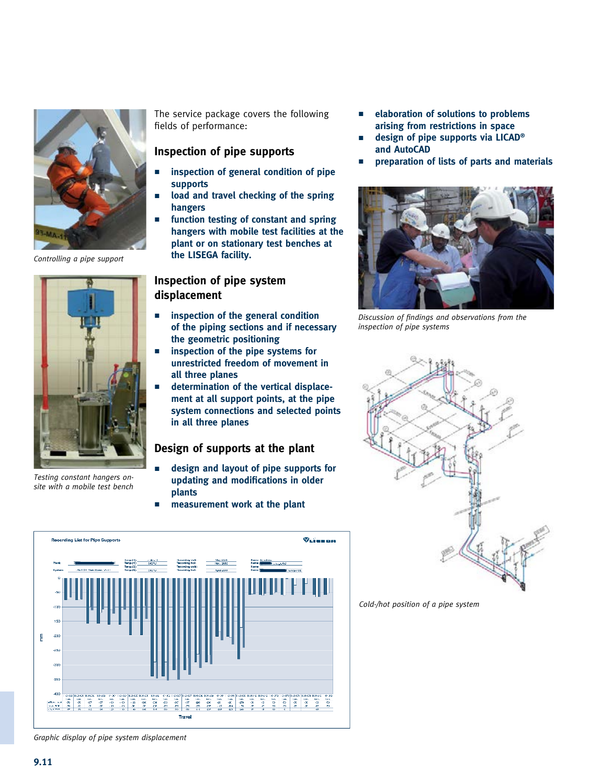

*Controlling a pipe support*



*Testing constant hangers onsite with a mobile test bench*

The service package covers the following fields of performance:

## **Inspection of pipe supports**

- **inspection of general condition of pipe supports**
- **load and travel checking of the spring hangers**
- **function testing of constant and spring hangers with mobile test facilities at the plant or on stationary test benches at the LISEGA facility.**

## **Inspection of pipe system displacement**

- **inspection of the general condition of the piping sections and if necessary the geometric positioning**
- **inspection of the pipe systems for unrestricted freedom of movement in all three planes**
- **determination of the vertical displacement at all support points, at the pipe system connections and selected points in all three planes**

## **Design of supports at the plant**

- **design and layout of pipe supports for updating and modifications in older plants**
- **measurement work at the plant**
- **elaboration of solutions to problems arising from restrictions in space**
- **design of pipe supports via LICAD® and AutoCAD**
- **preparation of lists of parts and materials**



*Discussion of findings and observations from the inspection of pipe systems* 



*Cold-/hot position of a pipe system* 



*Graphic display of pipe system displacement*